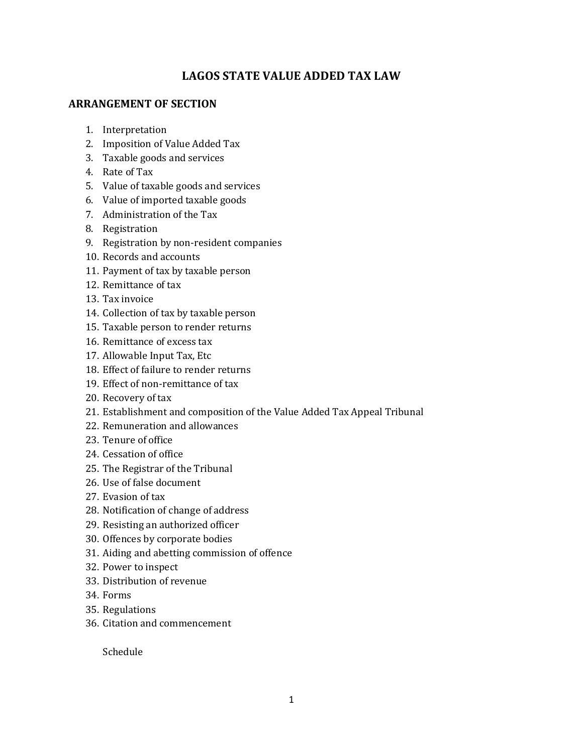### **LAGOS STATE VALUE ADDED TAX LAW**

#### **ARRANGEMENT OF SECTION**

- 1. Interpretation
- 2. Imposition of Value Added Tax
- 3. Taxable goods and services
- 4. Rate of Tax
- 5. Value of taxable goods and services
- 6. Value of imported taxable goods
- 7. Administration of the Tax
- 8. Registration
- 9. Registration by non-resident companies
- 10. Records and accounts
- 11. Payment of tax by taxable person
- 12. Remittance of tax
- 13. Tax invoice
- 14. Collection of tax by taxable person
- 15. Taxable person to render returns
- 16. Remittance of excess tax
- 17. Allowable Input Tax, Etc
- 18. Effect of failure to render returns
- 19. Effect of non-remittance of tax
- 20. Recovery of tax
- 21. Establishment and composition of the Value Added Tax Appeal Tribunal
- 22. Remuneration and allowances
- 23. Tenure of office
- 24. Cessation of office
- 25. The Registrar of the Tribunal
- 26. Use of false document
- 27. Evasion of tax
- 28. Notification of change of address
- 29. Resisting an authorized officer
- 30. Offences by corporate bodies
- 31. Aiding and abetting commission of offence
- 32. Power to inspect
- 33. Distribution of revenue
- 34. Forms
- 35. Regulations
- 36. Citation and commencement

Schedule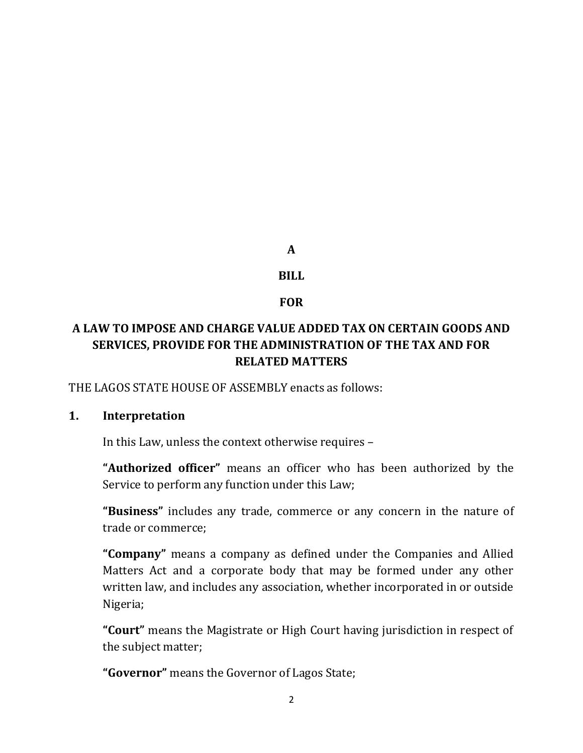**A** 

#### **BILL**

#### **FOR**

# **A LAW TO IMPOSE AND CHARGE VALUE ADDED TAX ON CERTAIN GOODS AND SERVICES, PROVIDE FOR THE ADMINISTRATION OF THE TAX AND FOR RELATED MATTERS**

THE LAGOS STATE HOUSE OF ASSEMBLY enacts as follows:

#### **1. Interpretation**

In this Law, unless the context otherwise requires –

**"Authorized officer"** means an officer who has been authorized by the Service to perform any function under this Law;

**"Business"** includes any trade, commerce or any concern in the nature of trade or commerce;

**"Company"** means a company as defined under the Companies and Allied Matters Act and a corporate body that may be formed under any other written law, and includes any association, whether incorporated in or outside Nigeria;

**"Court"** means the Magistrate or High Court having jurisdiction in respect of the subject matter;

**"Governor"** means the Governor of Lagos State;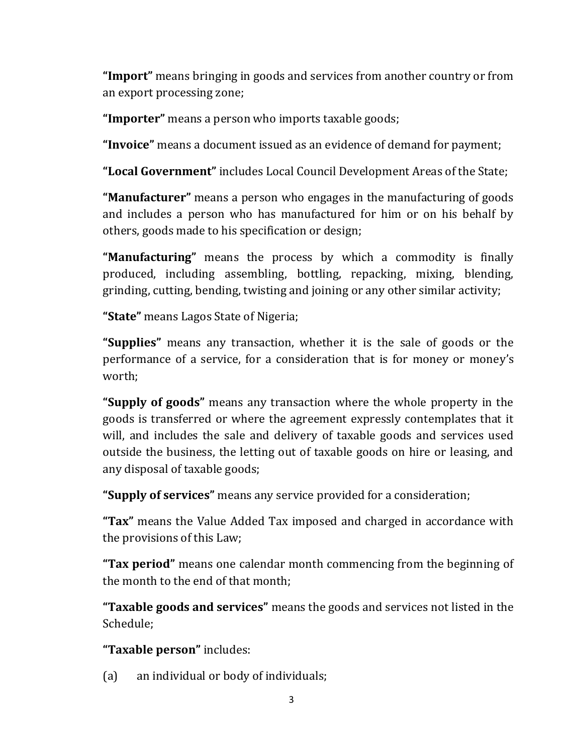**"Import"** means bringing in goods and services from another country or from an export processing zone;

**"Importer"** means a person who imports taxable goods;

**"Invoice"** means a document issued as an evidence of demand for payment;

**"Local Government"** includes Local Council Development Areas of the State;

**"Manufacturer"** means a person who engages in the manufacturing of goods and includes a person who has manufactured for him or on his behalf by others, goods made to his specification or design;

**"Manufacturing"** means the process by which a commodity is finally produced, including assembling, bottling, repacking, mixing, blending, grinding, cutting, bending, twisting and joining or any other similar activity;

**"State"** means Lagos State of Nigeria;

**"Supplies"** means any transaction, whether it is the sale of goods or the performance of a service, for a consideration that is for money or money's worth;

**"Supply of goods"** means any transaction where the whole property in the goods is transferred or where the agreement expressly contemplates that it will, and includes the sale and delivery of taxable goods and services used outside the business, the letting out of taxable goods on hire or leasing, and any disposal of taxable goods;

**"Supply of services"** means any service provided for a consideration;

**"Tax"** means the Value Added Tax imposed and charged in accordance with the provisions of this Law;

**"Tax period"** means one calendar month commencing from the beginning of the month to the end of that month;

**"Taxable goods and services"** means the goods and services not listed in the Schedule;

**"Taxable person"** includes:

(a) an individual or body of individuals;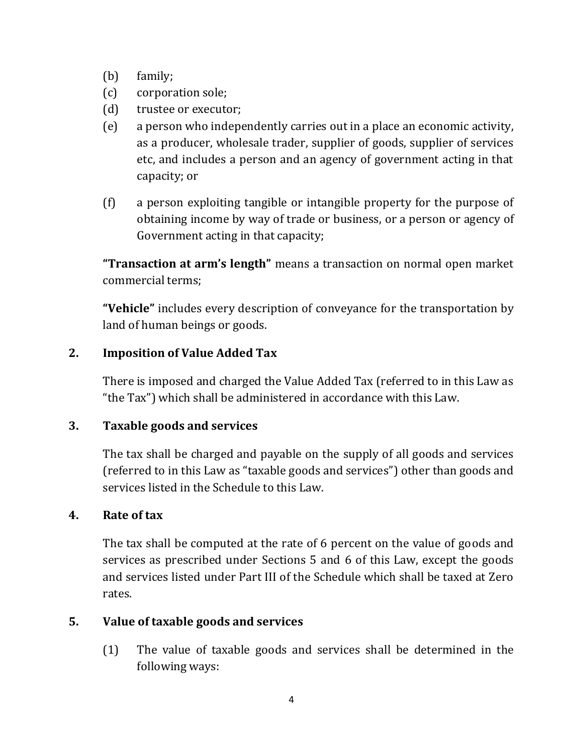- (b) family;
- (c) corporation sole;
- (d) trustee or executor;
- (e) a person who independently carries out in a place an economic activity, as a producer, wholesale trader, supplier of goods, supplier of services etc, and includes a person and an agency of government acting in that capacity; or
- (f) a person exploiting tangible or intangible property for the purpose of obtaining income by way of trade or business, or a person or agency of Government acting in that capacity;

**"Transaction at arm's length"** means a transaction on normal open market commercial terms;

**"Vehicle"** includes every description of conveyance for the transportation by land of human beings or goods.

### **2. Imposition of Value Added Tax**

There is imposed and charged the Value Added Tax (referred to in this Law as "the Tax") which shall be administered in accordance with this Law.

#### **3. Taxable goods and services**

The tax shall be charged and payable on the supply of all goods and services (referred to in this Law as "taxable goods and services") other than goods and services listed in the Schedule to this Law.

#### **4. Rate of tax**

The tax shall be computed at the rate of 6 percent on the value of goods and services as prescribed under Sections 5 and 6 of this Law, except the goods and services listed under Part III of the Schedule which shall be taxed at Zero rates.

#### **5. Value of taxable goods and services**

(1) The value of taxable goods and services shall be determined in the following ways: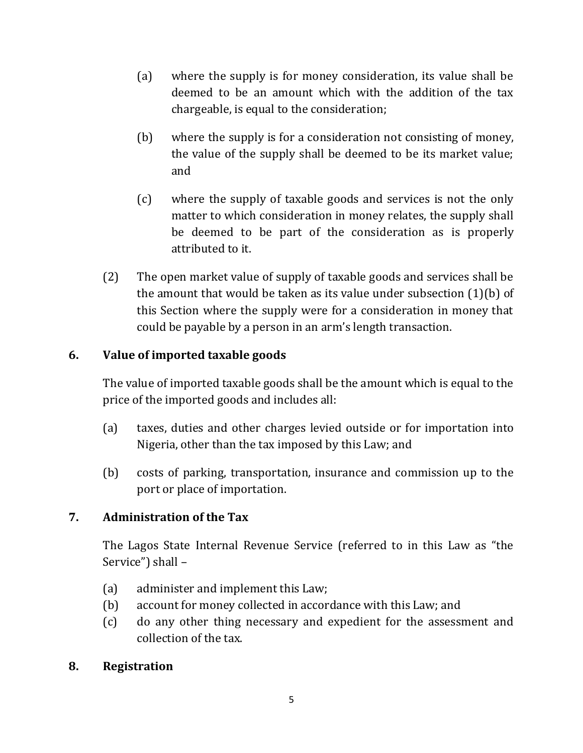- (a) where the supply is for money consideration, its value shall be deemed to be an amount which with the addition of the tax chargeable, is equal to the consideration;
- (b) where the supply is for a consideration not consisting of money, the value of the supply shall be deemed to be its market value; and
- (c) where the supply of taxable goods and services is not the only matter to which consideration in money relates, the supply shall be deemed to be part of the consideration as is properly attributed to it.
- (2) The open market value of supply of taxable goods and services shall be the amount that would be taken as its value under subsection (1)(b) of this Section where the supply were for a consideration in money that could be payable by a person in an arm's length transaction.

# **6. Value of imported taxable goods**

The value of imported taxable goods shall be the amount which is equal to the price of the imported goods and includes all:

- (a) taxes, duties and other charges levied outside or for importation into Nigeria, other than the tax imposed by this Law; and
- (b) costs of parking, transportation, insurance and commission up to the port or place of importation.

# **7. Administration of the Tax**

The Lagos State Internal Revenue Service (referred to in this Law as "the Service") shall –

- (a) administer and implement this Law;
- (b) account for money collected in accordance with this Law; and
- (c) do any other thing necessary and expedient for the assessment and collection of the tax.

### **8. Registration**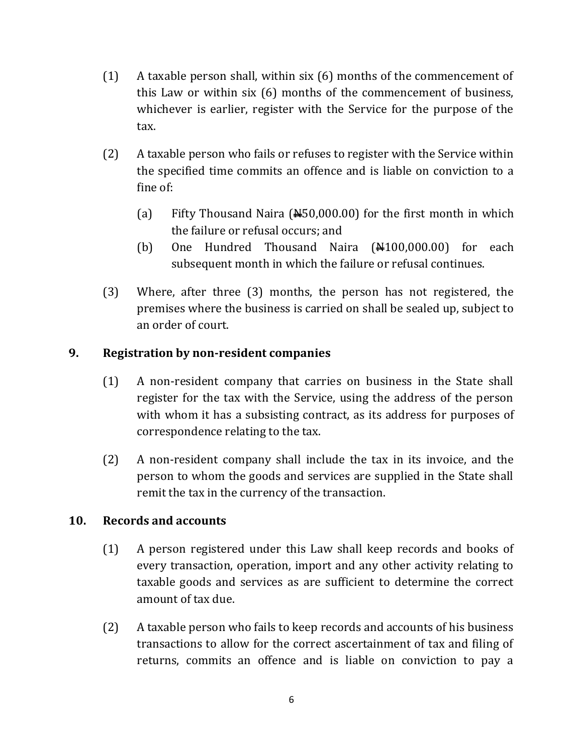- (1) A taxable person shall, within six (6) months of the commencement of this Law or within six (6) months of the commencement of business, whichever is earlier, register with the Service for the purpose of the tax.
- (2) A taxable person who fails or refuses to register with the Service within the specified time commits an offence and is liable on conviction to a fine of:
	- (a) Fifty Thousand Naira  $(450,000.00)$  for the first month in which the failure or refusal occurs; and
	- (b) One Hundred Thousand Naira  $(\frac{\text{N}}{100,000.00})$  for each subsequent month in which the failure or refusal continues.
- (3) Where, after three (3) months, the person has not registered, the premises where the business is carried on shall be sealed up, subject to an order of court.

### **9. Registration by non-resident companies**

- (1) A non-resident company that carries on business in the State shall register for the tax with the Service, using the address of the person with whom it has a subsisting contract, as its address for purposes of correspondence relating to the tax.
- (2) A non-resident company shall include the tax in its invoice, and the person to whom the goods and services are supplied in the State shall remit the tax in the currency of the transaction.

### **10. Records and accounts**

- (1) A person registered under this Law shall keep records and books of every transaction, operation, import and any other activity relating to taxable goods and services as are sufficient to determine the correct amount of tax due.
- (2) A taxable person who fails to keep records and accounts of his business transactions to allow for the correct ascertainment of tax and filing of returns, commits an offence and is liable on conviction to pay a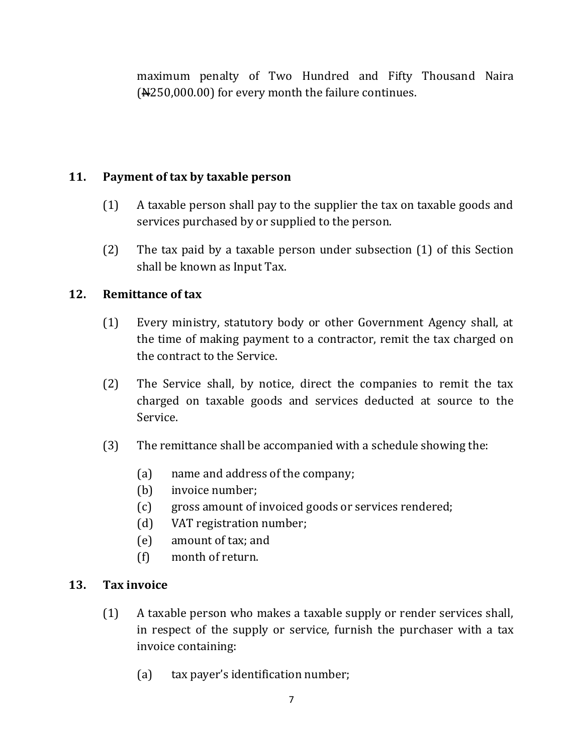maximum penalty of Two Hundred and Fifty Thousand Naira (N250,000.00) for every month the failure continues.

## **11. Payment of tax by taxable person**

- (1) A taxable person shall pay to the supplier the tax on taxable goods and services purchased by or supplied to the person.
- (2) The tax paid by a taxable person under subsection (1) of this Section shall be known as Input Tax.

### **12. Remittance of tax**

- (1) Every ministry, statutory body or other Government Agency shall, at the time of making payment to a contractor, remit the tax charged on the contract to the Service.
- (2) The Service shall, by notice, direct the companies to remit the tax charged on taxable goods and services deducted at source to the Service.
- (3) The remittance shall be accompanied with a schedule showing the:
	- (a) name and address of the company;
	- (b) invoice number;
	- (c) gross amount of invoiced goods or services rendered;
	- (d) VAT registration number;
	- (e) amount of tax; and
	- (f) month of return.

#### **13. Tax invoice**

- (1) A taxable person who makes a taxable supply or render services shall, in respect of the supply or service, furnish the purchaser with a tax invoice containing:
	- (a) tax payer's identification number;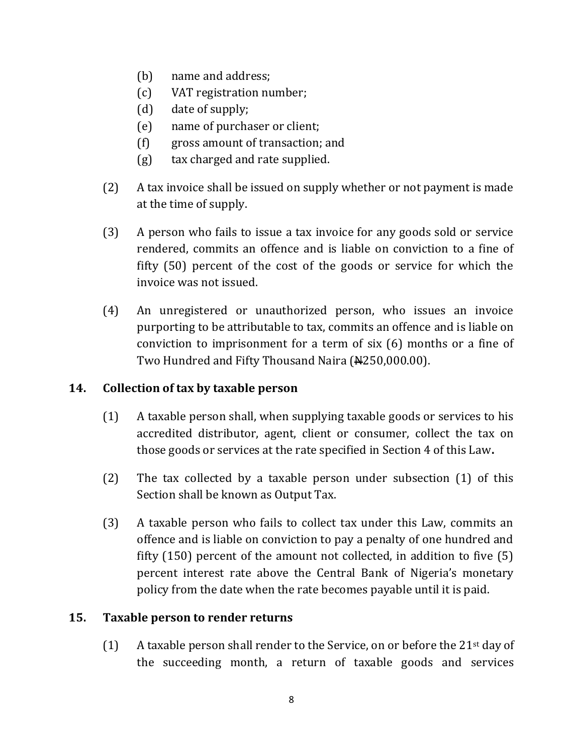- (b) name and address;
- (c) VAT registration number;
- (d) date of supply;
- (e) name of purchaser or client;
- (f) gross amount of transaction; and
- (g) tax charged and rate supplied.
- (2) A tax invoice shall be issued on supply whether or not payment is made at the time of supply.
- (3) A person who fails to issue a tax invoice for any goods sold or service rendered, commits an offence and is liable on conviction to a fine of fifty (50) percent of the cost of the goods or service for which the invoice was not issued.
- (4) An unregistered or unauthorized person, who issues an invoice purporting to be attributable to tax, commits an offence and is liable on conviction to imprisonment for a term of six (6) months or a fine of Two Hundred and Fifty Thousand Naira (N4250,000.00).

### **14. Collection of tax by taxable person**

- (1) A taxable person shall, when supplying taxable goods or services to his accredited distributor, agent, client or consumer, collect the tax on those goods or services at the rate specified in Section 4 of this Law**.**
- (2) The tax collected by a taxable person under subsection (1) of this Section shall be known as Output Tax.
- (3) A taxable person who fails to collect tax under this Law, commits an offence and is liable on conviction to pay a penalty of one hundred and fifty (150) percent of the amount not collected, in addition to five (5) percent interest rate above the Central Bank of Nigeria's monetary policy from the date when the rate becomes payable until it is paid.

#### **15. Taxable person to render returns**

(1) A taxable person shall render to the Service, on or before the 21st day of the succeeding month, a return of taxable goods and services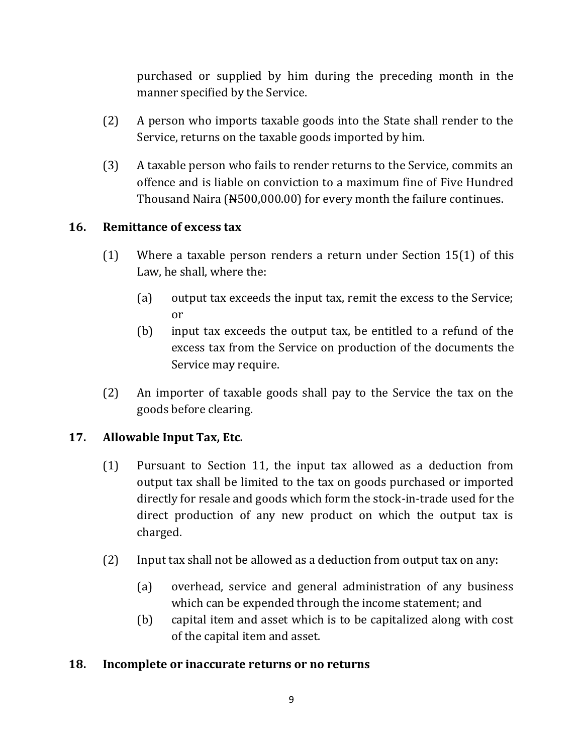purchased or supplied by him during the preceding month in the manner specified by the Service.

- (2) A person who imports taxable goods into the State shall render to the Service, returns on the taxable goods imported by him.
- (3) A taxable person who fails to render returns to the Service, commits an offence and is liable on conviction to a maximum fine of Five Hundred Thousand Naira (#500,000.00) for every month the failure continues.

### **16. Remittance of excess tax**

- (1) Where a taxable person renders a return under Section 15(1) of this Law, he shall, where the:
	- (a) output tax exceeds the input tax, remit the excess to the Service; or
	- (b) input tax exceeds the output tax, be entitled to a refund of the excess tax from the Service on production of the documents the Service may require.
- (2) An importer of taxable goods shall pay to the Service the tax on the goods before clearing.

### **17. Allowable Input Tax, Etc.**

- (1) Pursuant to Section 11, the input tax allowed as a deduction from output tax shall be limited to the tax on goods purchased or imported directly for resale and goods which form the stock-in-trade used for the direct production of any new product on which the output tax is charged.
- (2) Input tax shall not be allowed as a deduction from output tax on any:
	- (a) overhead, service and general administration of any business which can be expended through the income statement; and
	- (b) capital item and asset which is to be capitalized along with cost of the capital item and asset.

#### **18. Incomplete or inaccurate returns or no returns**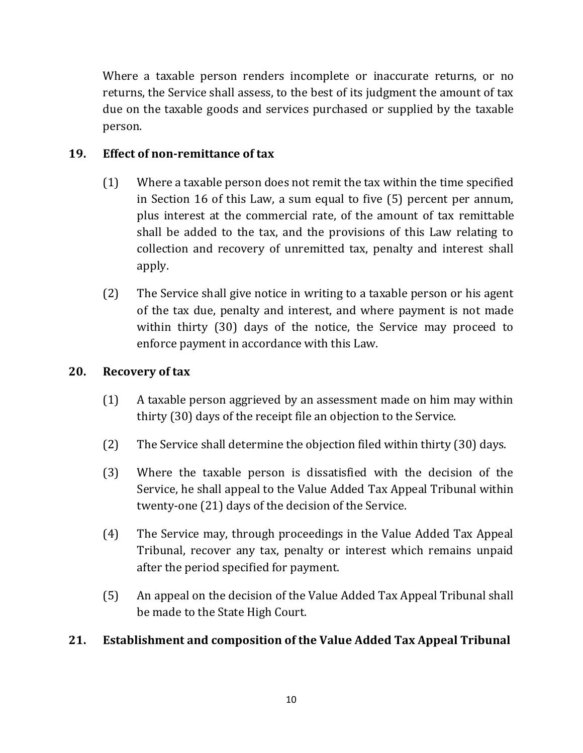Where a taxable person renders incomplete or inaccurate returns, or no returns, the Service shall assess, to the best of its judgment the amount of tax due on the taxable goods and services purchased or supplied by the taxable person.

# **19. Effect of non-remittance of tax**

- (1) Where a taxable person does not remit the tax within the time specified in Section 16 of this Law, a sum equal to five (5) percent per annum, plus interest at the commercial rate, of the amount of tax remittable shall be added to the tax, and the provisions of this Law relating to collection and recovery of unremitted tax, penalty and interest shall apply.
- (2) The Service shall give notice in writing to a taxable person or his agent of the tax due, penalty and interest, and where payment is not made within thirty (30) days of the notice, the Service may proceed to enforce payment in accordance with this Law.

## **20. Recovery of tax**

- (1) A taxable person aggrieved by an assessment made on him may within thirty (30) days of the receipt file an objection to the Service.
- (2) The Service shall determine the objection filed within thirty (30) days.
- (3) Where the taxable person is dissatisfied with the decision of the Service, he shall appeal to the Value Added Tax Appeal Tribunal within twenty-one (21) days of the decision of the Service.
- (4) The Service may, through proceedings in the Value Added Tax Appeal Tribunal, recover any tax, penalty or interest which remains unpaid after the period specified for payment.
- (5) An appeal on the decision of the Value Added Tax Appeal Tribunal shall be made to the State High Court.

### **21. Establishment and composition of the Value Added Tax Appeal Tribunal**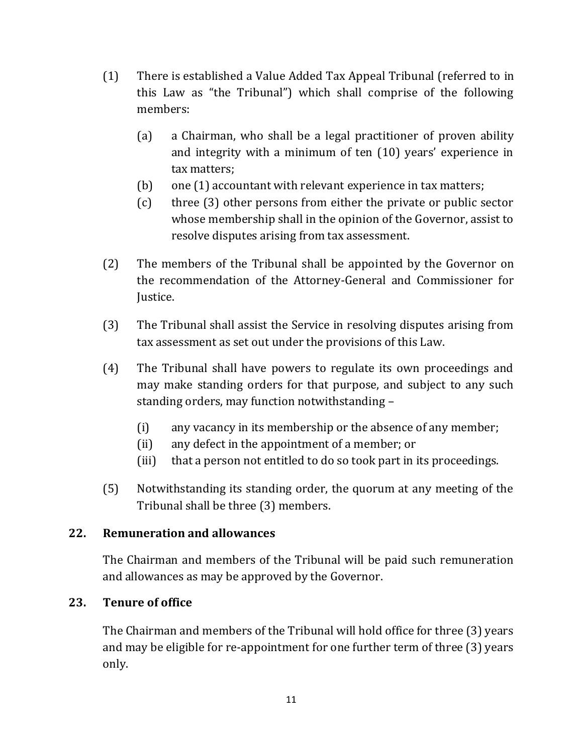- (1) There is established a Value Added Tax Appeal Tribunal (referred to in this Law as "the Tribunal") which shall comprise of the following members:
	- (a) a Chairman, who shall be a legal practitioner of proven ability and integrity with a minimum of ten (10) years' experience in tax matters;
	- (b) one (1) accountant with relevant experience in tax matters;
	- (c) three (3) other persons from either the private or public sector whose membership shall in the opinion of the Governor, assist to resolve disputes arising from tax assessment.
- (2) The members of the Tribunal shall be appointed by the Governor on the recommendation of the Attorney-General and Commissioner for Justice.
- (3) The Tribunal shall assist the Service in resolving disputes arising from tax assessment as set out under the provisions of this Law.
- (4) The Tribunal shall have powers to regulate its own proceedings and may make standing orders for that purpose, and subject to any such standing orders, may function notwithstanding –
	- (i) any vacancy in its membership or the absence of any member;
	- (ii) any defect in the appointment of a member; or
	- (iii) that a person not entitled to do so took part in its proceedings.
- (5) Notwithstanding its standing order, the quorum at any meeting of the Tribunal shall be three (3) members.

# **22. Remuneration and allowances**

The Chairman and members of the Tribunal will be paid such remuneration and allowances as may be approved by the Governor.

# **23. Tenure of office**

The Chairman and members of the Tribunal will hold office for three (3) years and may be eligible for re-appointment for one further term of three (3) years only.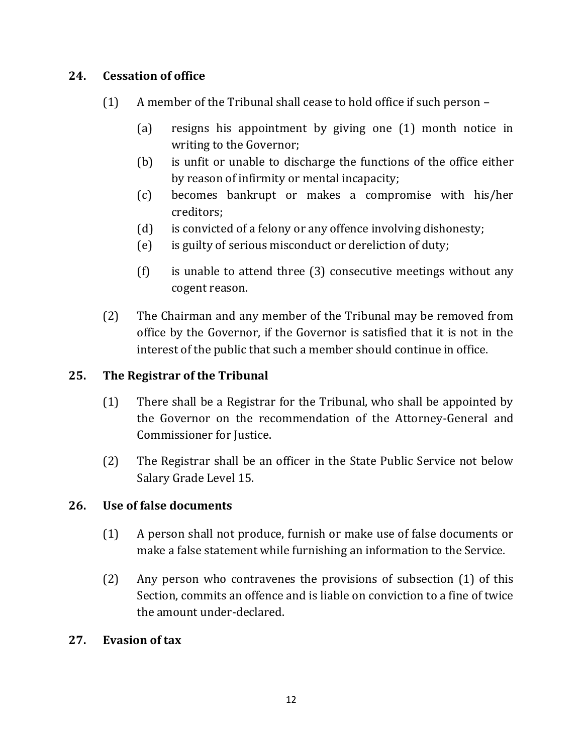## **24. Cessation of office**

- (1) A member of the Tribunal shall cease to hold office if such person
	- (a) resigns his appointment by giving one (1) month notice in writing to the Governor;
	- (b) is unfit or unable to discharge the functions of the office either by reason of infirmity or mental incapacity;
	- (c) becomes bankrupt or makes a compromise with his/her creditors;
	- (d) is convicted of a felony or any offence involving dishonesty;
	- (e) is guilty of serious misconduct or dereliction of duty;
	- (f) is unable to attend three (3) consecutive meetings without any cogent reason.
- (2) The Chairman and any member of the Tribunal may be removed from office by the Governor, if the Governor is satisfied that it is not in the interest of the public that such a member should continue in office.

## **25. The Registrar of the Tribunal**

- (1) There shall be a Registrar for the Tribunal, who shall be appointed by the Governor on the recommendation of the Attorney-General and Commissioner for Justice.
- (2) The Registrar shall be an officer in the State Public Service not below Salary Grade Level 15.

### **26. Use of false documents**

- (1) A person shall not produce, furnish or make use of false documents or make a false statement while furnishing an information to the Service.
- (2) Any person who contravenes the provisions of subsection (1) of this Section, commits an offence and is liable on conviction to a fine of twice the amount under-declared.

### **27. Evasion of tax**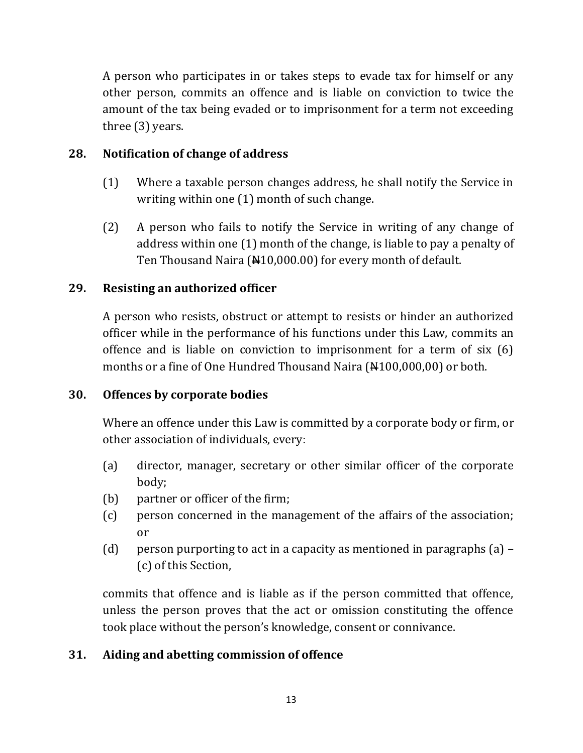A person who participates in or takes steps to evade tax for himself or any other person, commits an offence and is liable on conviction to twice the amount of the tax being evaded or to imprisonment for a term not exceeding three (3) years.

## **28. Notification of change of address**

- (1) Where a taxable person changes address, he shall notify the Service in writing within one (1) month of such change.
- (2) A person who fails to notify the Service in writing of any change of address within one (1) month of the change, is liable to pay a penalty of Ten Thousand Naira (¥10,000.00) for every month of default.

## **29. Resisting an authorized officer**

A person who resists, obstruct or attempt to resists or hinder an authorized officer while in the performance of his functions under this Law, commits an offence and is liable on conviction to imprisonment for a term of six (6) months or a fine of One Hundred Thousand Naira  $(\frac{14100,000,00}{0,000})$  or both.

### **30. Offences by corporate bodies**

Where an offence under this Law is committed by a corporate body or firm, or other association of individuals, every:

- (a) director, manager, secretary or other similar officer of the corporate body;
- (b) partner or officer of the firm;
- (c) person concerned in the management of the affairs of the association; or
- (d) person purporting to act in a capacity as mentioned in paragraphs  $(a)$  (c) of this Section,

commits that offence and is liable as if the person committed that offence, unless the person proves that the act or omission constituting the offence took place without the person's knowledge, consent or connivance.

# **31. Aiding and abetting commission of offence**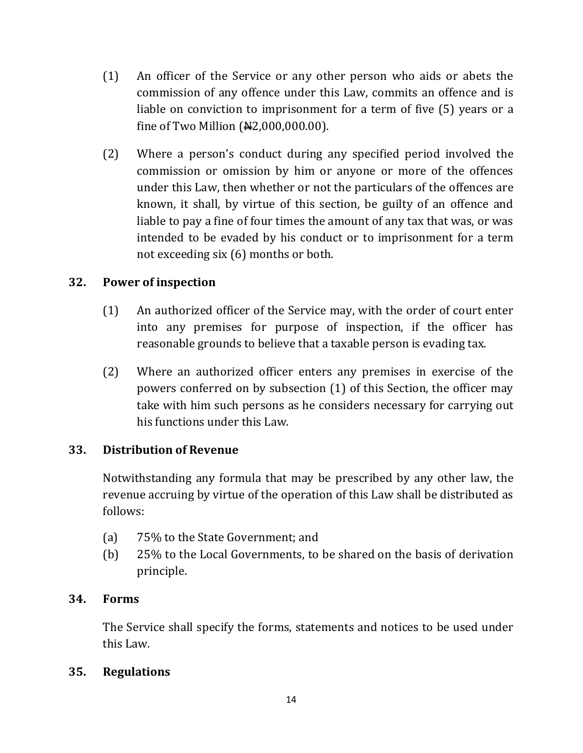- (1) An officer of the Service or any other person who aids or abets the commission of any offence under this Law, commits an offence and is liable on conviction to imprisonment for a term of five (5) years or a fine of Two Million  $(**H2**,000,000.00)$ .
- (2) Where a person's conduct during any specified period involved the commission or omission by him or anyone or more of the offences under this Law, then whether or not the particulars of the offences are known, it shall, by virtue of this section, be guilty of an offence and liable to pay a fine of four times the amount of any tax that was, or was intended to be evaded by his conduct or to imprisonment for a term not exceeding six (6) months or both.

## **32. Power of inspection**

- (1) An authorized officer of the Service may, with the order of court enter into any premises for purpose of inspection, if the officer has reasonable grounds to believe that a taxable person is evading tax.
- (2) Where an authorized officer enters any premises in exercise of the powers conferred on by subsection (1) of this Section, the officer may take with him such persons as he considers necessary for carrying out his functions under this Law.

### **33. Distribution of Revenue**

Notwithstanding any formula that may be prescribed by any other law, the revenue accruing by virtue of the operation of this Law shall be distributed as follows:

- (a) 75% to the State Government; and
- (b) 25% to the Local Governments, to be shared on the basis of derivation principle.

#### **34. Forms**

The Service shall specify the forms, statements and notices to be used under this Law.

#### **35. Regulations**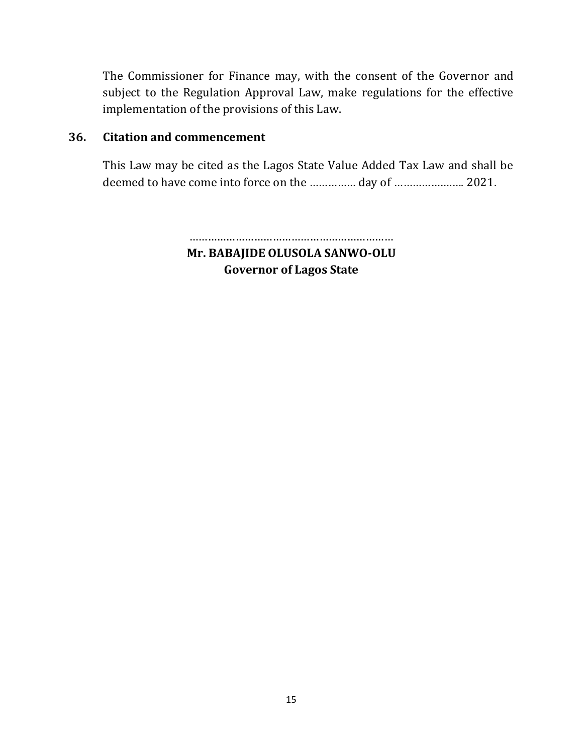The Commissioner for Finance may, with the consent of the Governor and subject to the Regulation Approval Law, make regulations for the effective implementation of the provisions of this Law.

### **36. Citation and commencement**

This Law may be cited as the Lagos State Value Added Tax Law and shall be deemed to have come into force on the …………… day of ……………….…. 2021.

> ………………………………………………………… **Mr. BABAJIDE OLUSOLA SANWO-OLU Governor of Lagos State**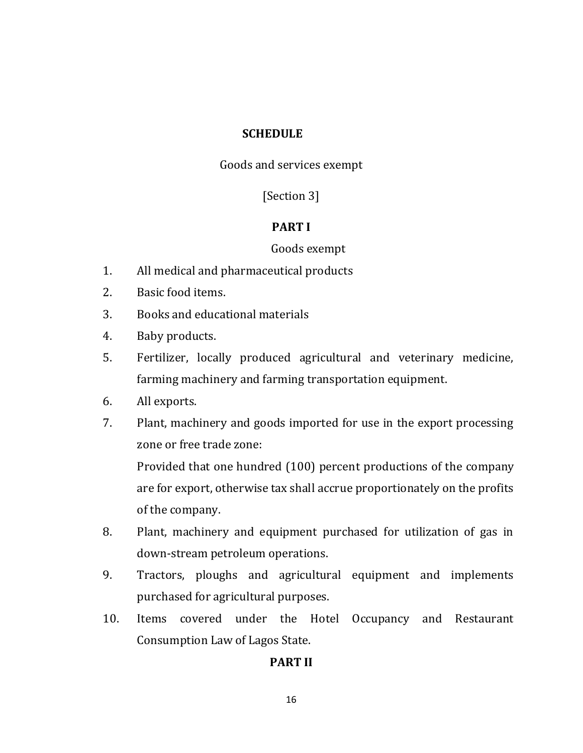#### **SCHEDULE**

Goods and services exempt

[Section 3]

#### **PART I**

#### Goods exempt

- 1. All medical and pharmaceutical products
- 2. Basic food items.
- 3. Books and educational materials
- 4. Baby products.
- 5. Fertilizer, locally produced agricultural and veterinary medicine, farming machinery and farming transportation equipment.
- 6. All exports.
- 7. Plant, machinery and goods imported for use in the export processing zone or free trade zone:

Provided that one hundred (100) percent productions of the company are for export, otherwise tax shall accrue proportionately on the profits of the company.

- 8. Plant, machinery and equipment purchased for utilization of gas in down-stream petroleum operations.
- 9. Tractors, ploughs and agricultural equipment and implements purchased for agricultural purposes.
- 10. Items covered under the Hotel Occupancy and Restaurant Consumption Law of Lagos State.

#### **PART II**